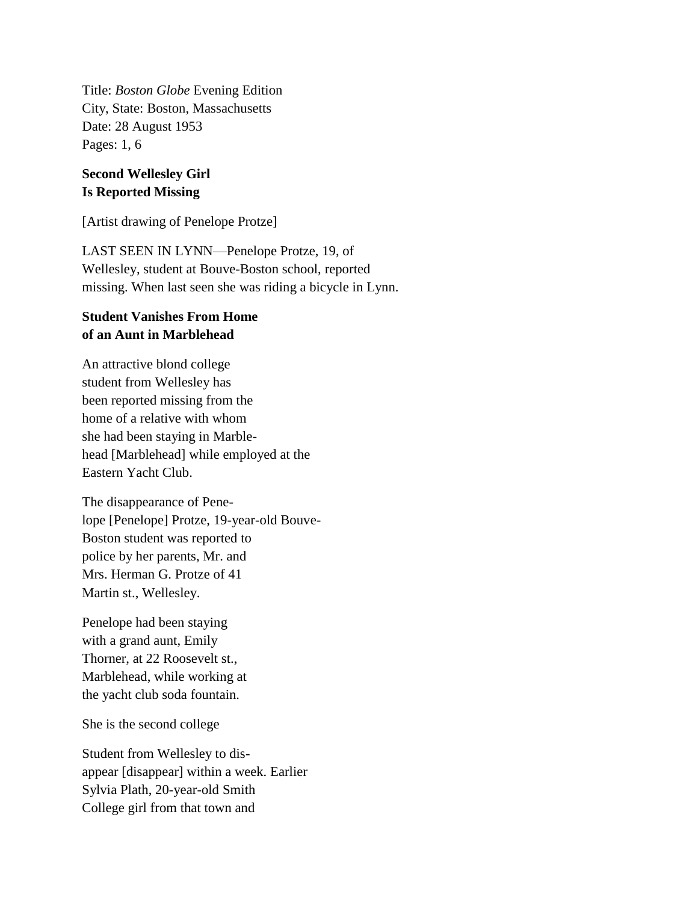Title: *Boston Globe* Evening Edition City, State: Boston, Massachusetts Date: 28 August 1953 Pages: 1, 6

## **Second Wellesley Girl Is Reported Missing**

[Artist drawing of Penelope Protze]

LAST SEEN IN LYNN—Penelope Protze, 19, of Wellesley, student at Bouve-Boston school, reported missing. When last seen she was riding a bicycle in Lynn.

## **Student Vanishes From Home of an Aunt in Marblehead**

An attractive blond college student from Wellesley has been reported missing from the home of a relative with whom she had been staying in Marblehead [Marblehead] while employed at the Eastern Yacht Club.

The disappearance of Penelope [Penelope] Protze, 19-year-old Bouve-Boston student was reported to police by her parents, Mr. and Mrs. Herman G. Protze of 41 Martin st., Wellesley.

Penelope had been staying with a grand aunt, Emily Thorner, at 22 Roosevelt st., Marblehead, while working at the yacht club soda fountain.

She is the second college

Student from Wellesley to disappear [disappear] within a week. Earlier Sylvia Plath, 20-year-old Smith College girl from that town and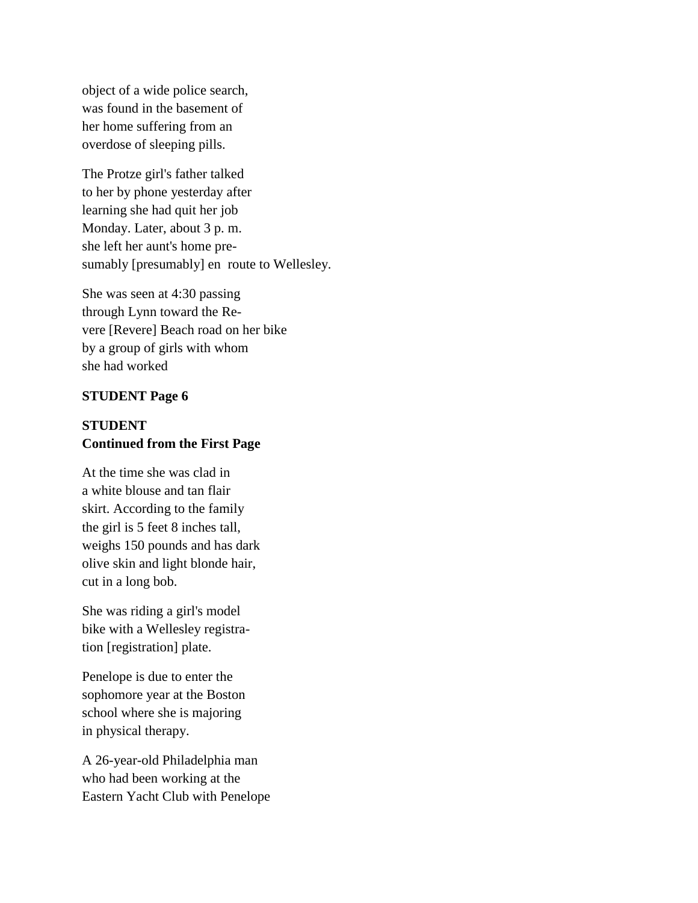object of a wide police search, was found in the basement of her home suffering from an overdose of sleeping pills.

The Protze girl's father talked to her by phone yesterday after learning she had quit her job Monday. Later, about 3 p. m. she left her aunt's home presumably [presumably] en route to Wellesley.

She was seen at 4:30 passing through Lynn toward the Revere [Revere] Beach road on her bike by a group of girls with whom she had worked

## **STUDENT Page 6**

## **STUDENT Continued from the First Page**

At the time she was clad in a white blouse and tan flair skirt. According to the family the girl is 5 feet 8 inches tall, weighs 150 pounds and has dark olive skin and light blonde hair, cut in a long bob.

She was riding a girl's model bike with a Wellesley registration [registration] plate.

Penelope is due to enter the sophomore year at the Boston school where she is majoring in physical therapy.

A 26-year-old Philadelphia man who had been working at the Eastern Yacht Club with Penelope